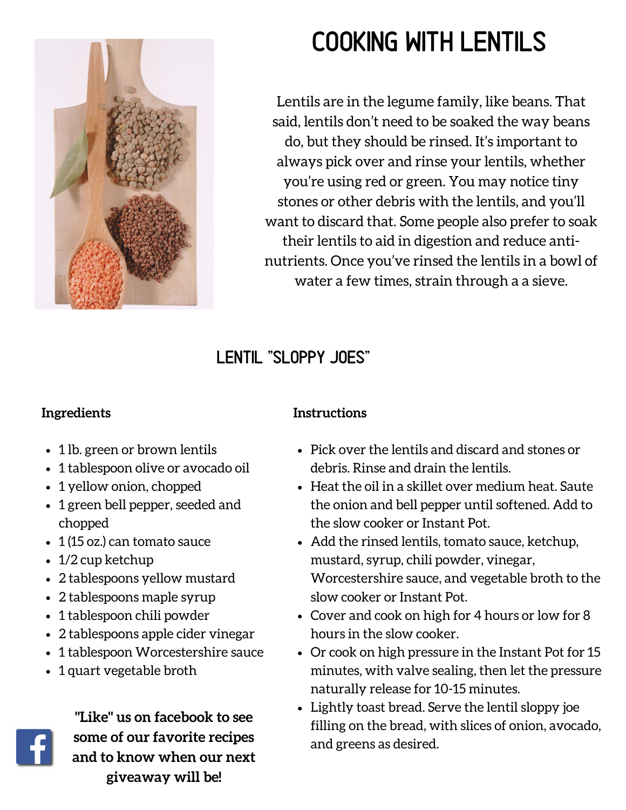

# cooking with lentils

Lentils are in the legume family, like beans. That said, lentils don't need to be soaked the way beans do, but they should be rinsed. It's important to always pick over and rinse your lentils, whether you're using red or green. You may notice tiny stones or other debris with the lentils, and you'll want to discard that. Some people also prefer to soak their lentils to aid in digestion and reduce antinutrients. Once you've rinsed the lentils in a bowl of water a few times, strain through a a sieve.

## Lentil "Sloppy Joes"

#### **Ingredients**

- 1 lb. green or brown lentils
- 1 tablespoon olive or avocado oil
- 1 yellow onion, chopped
- 1 green bell pepper, seeded and chopped
- 1 (15 oz.) can tomato sauce
- 1/2 cup ketchup
- 2 tablespoons yellow mustard
- 2 tablespoons maple syrup
- 1 tablespoon chili powder
- 2 tablespoons apple cider vinegar
- 1 tablespoon Worcestershire sauce
- 1 quart vegetable broth



**"Like" us on facebook to see some of our favorite recipes and to know when our next giveaway will be!**

#### **Instructions**

- Pick over the lentils and discard and stones or debris. Rinse and drain the lentils.
- Heat the oil in a skillet over medium heat. Saute the onion and bell pepper until softened. Add to the slow cooker or Instant Pot.
- Add the rinsed lentils, tomato sauce, ketchup, mustard, syrup, chili powder, vinegar, Worcestershire sauce, and vegetable broth to the slow cooker or Instant Pot.
- Cover and cook on high for 4 hours or low for 8 hours in the slow cooker.
- Or cook on high pressure in the Instant Pot for 15 minutes, with valve sealing, then let the pressure naturally release for 10-15 minutes.
- Lightly toast bread. Serve the lentil sloppy joe filling on the bread, with slices of onion, avocado, and greens as desired.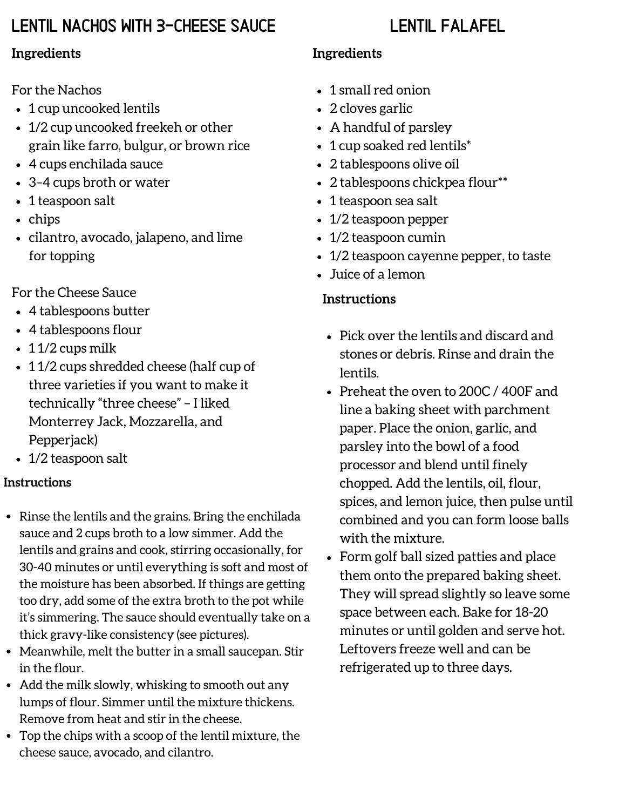## Lentil nachos with 3-cheese sauce

### Lentil Falafel

#### **Ingredients**

For the Nachos

- 1 cup uncooked lentils
- 1/2 cup uncooked freekeh or other grain like farro, bulgur, or brown rice
- 4 cups enchilada sauce
- 3–4 cups broth or water
- 1 teaspoon salt
- chips
- cilantro, avocado, jalapeno, and lime for topping

For the Cheese Sauce

- 4 tablespoons butter
- 4 tablespoons flour
- $\cdot$  11/2 cups milk
- 11/2 cups shredded cheese (half cup of three varieties if you want to make it technically "three cheese" – I liked Monterrey Jack, Mozzarella, and Pepperjack)
- 1/2 teaspoon salt

#### **Instructions**

- Rinse the lentils and the grains. Bring the enchilada sauce and 2 cups broth to a low simmer. Add the lentils and grains and cook, stirring occasionally, for 30-40 minutes or until everything is soft and most of the moisture has been absorbed. If things are getting too dry, add some of the extra broth to the pot while it's simmering. The sauce should eventually take on a thick gravy-like consistency (see pictures).
- Meanwhile, melt the butter in a small saucepan. Stir in the flour.
- Add the milk slowly, whisking to smooth out any lumps of flour. Simmer until the mixture thickens. Remove from heat and stir in the cheese.
- Top the chips with a scoop of the lentil mixture, the cheese sauce, avocado, and cilantro.

#### **Ingredients**

- 1 small red onion
- 2 cloves garlic
- A handful of parsley
- 1 cup soaked red lentils\*
- 2 tablespoons olive oil
- 2 tablespoons chickpea flour\*\*
- 1 teaspoon sea salt
- 1/2 teaspoon pepper
- 1/2 teaspoon cumin
- 1/2 teaspoon cayenne pepper, to taste
- Juice of a lemon

#### **Instructions**

- Pick over the lentils and discard and stones or debris. Rinse and drain the lentils.
- Preheat the oven to 200C / 400F and line a baking sheet with parchment paper. Place the onion, garlic, and parsley into the bowl of a food processor and blend until finely chopped. Add the lentils, oil, flour, spices, and lemon juice, then pulse until combined and you can form loose balls with the mixture.
- Form golf ball sized patties and place them onto the prepared baking sheet. They will spread slightly so leave some space between each. Bake for 18-20 minutes or until golden and serve hot. Leftovers freeze well and can be refrigerated up to three days.